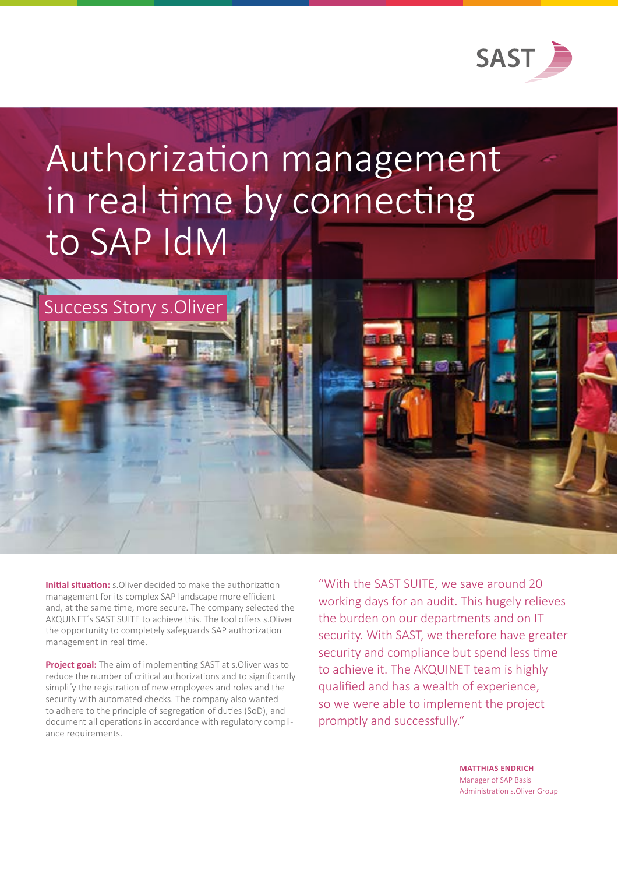

## Authorization management in real time by connecting to SAP IdM

**Initial situation:** s. Oliver decided to make the authorization management for its complex SAP landscape more efficient and, at the same time, more secure. The company selected the AKQUINET´s SAST SUITE to achieve this. The tool offers s.Oliver the opportunity to completely safeguards SAP authorization management in real time.

Success Story s.Oliver

**Project goal:** The aim of implementing SAST at s.Oliver was to reduce the number of critical authorizations and to significantly simplify the registration of new employees and roles and the security with automated checks. The company also wanted to adhere to the principle of segregation of duties (SoD), and document all operations in accordance with regulatory compliance requirements.

"With the SAST SUITE, we save around 20 working days for an audit. This hugely relieves the burden on our departments and on IT security. With SAST, we therefore have greater security and compliance but spend less time to achieve it. The AKQUINET team is highly qualified and has a wealth of experience, so we were able to implement the project promptly and successfully."

> **MATTHIAS ENDRICH** Manager of SAP Basis Administration s.Oliver Group